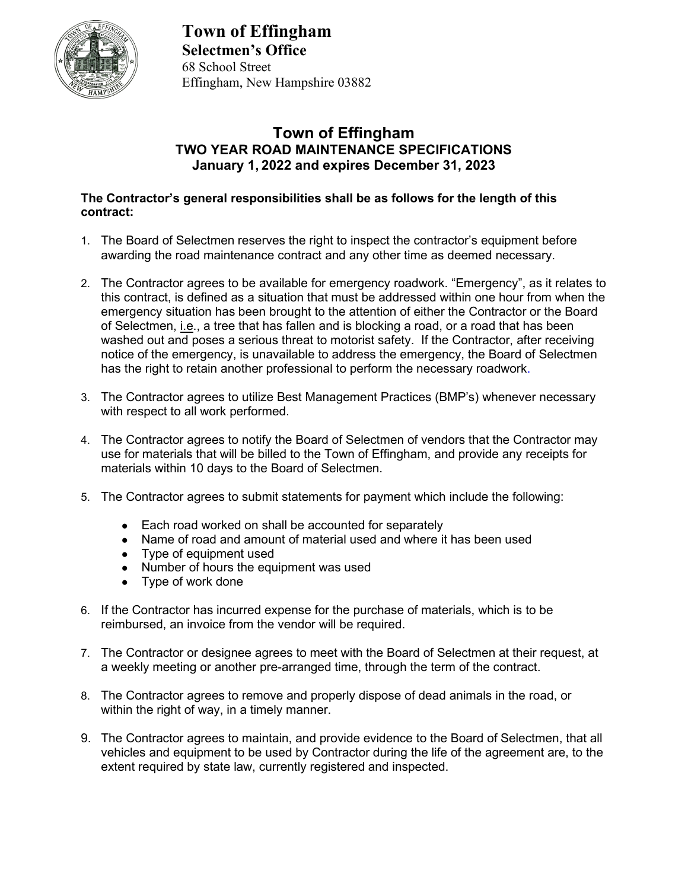

**Town of Effingham Selectmen's Office** 68 School Street Effingham, New Hampshire 03882

## **Town of Effingham TWO YEAR ROAD MAINTENANCE SPECIFICATIONS January 1, 2022 and expires December 31, 2023**

## **The Contractor's general responsibilities shall be as follows for the length of this contract:**

- 1. The Board of Selectmen reserves the right to inspect the contractor's equipment before awarding the road maintenance contract and any other time as deemed necessary.
- 2. The Contractor agrees to be available for emergency roadwork. "Emergency", as it relates to this contract, is defined as a situation that must be addressed within one hour from when the emergency situation has been brought to the attention of either the Contractor or the Board of Selectmen, i.e., a tree that has fallen and is blocking a road, or a road that has been washed out and poses a serious threat to motorist safety. If the Contractor, after receiving notice of the emergency, is unavailable to address the emergency, the Board of Selectmen has the right to retain another professional to perform the necessary roadwork.
- 3. The Contractor agrees to utilize Best Management Practices (BMP's) whenever necessary with respect to all work performed.
- 4. The Contractor agrees to notify the Board of Selectmen of vendors that the Contractor may use for materials that will be billed to the Town of Effingham, and provide any receipts for materials within 10 days to the Board of Selectmen.
- 5. The Contractor agrees to submit statements for payment which include the following:
	- Each road worked on shall be accounted for separately
	- Name of road and amount of material used and where it has been used
	- Type of equipment used
	- Number of hours the equipment was used
	- Type of work done
- 6. If the Contractor has incurred expense for the purchase of materials, which is to be reimbursed, an invoice from the vendor will be required.
- 7. The Contractor or designee agrees to meet with the Board of Selectmen at their request, at a weekly meeting or another pre-arranged time, through the term of the contract.
- 8. The Contractor agrees to remove and properly dispose of dead animals in the road, or within the right of way, in a timely manner.
- 9. The Contractor agrees to maintain, and provide evidence to the Board of Selectmen, that all vehicles and equipment to be used by Contractor during the life of the agreement are, to the extent required by state law, currently registered and inspected.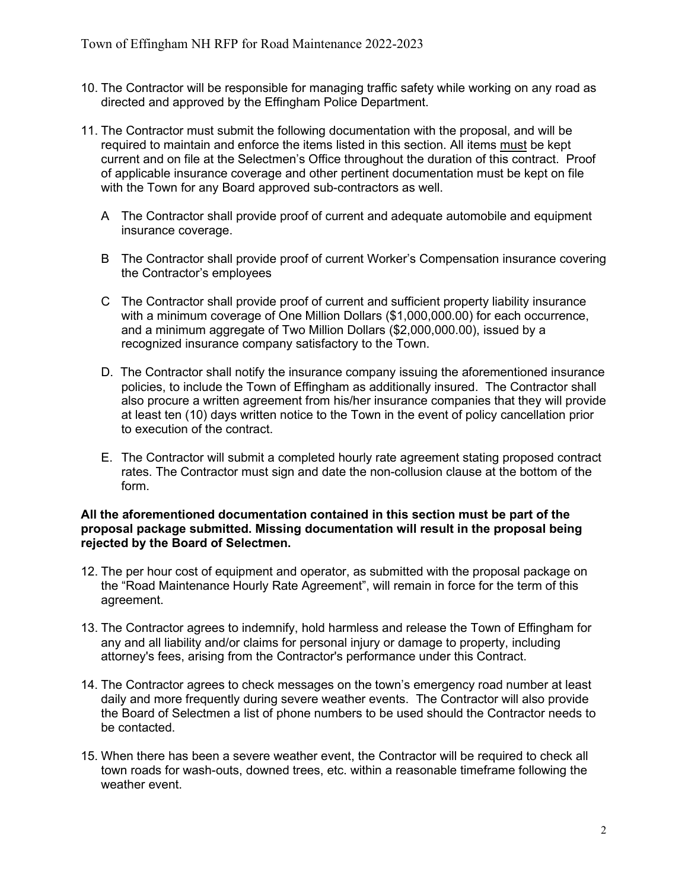- 10. The Contractor will be responsible for managing traffic safety while working on any road as directed and approved by the Effingham Police Department.
- 11. The Contractor must submit the following documentation with the proposal, and will be required to maintain and enforce the items listed in this section. All items must be kept current and on file at the Selectmen's Office throughout the duration of this contract. Proof of applicable insurance coverage and other pertinent documentation must be kept on file with the Town for any Board approved sub-contractors as well.
	- A The Contractor shall provide proof of current and adequate automobile and equipment insurance coverage.
	- B The Contractor shall provide proof of current Worker's Compensation insurance covering the Contractor's employees
	- C The Contractor shall provide proof of current and sufficient property liability insurance with a minimum coverage of One Million Dollars (\$1,000,000.00) for each occurrence, and a minimum aggregate of Two Million Dollars (\$2,000,000.00), issued by a recognized insurance company satisfactory to the Town.
	- D. The Contractor shall notify the insurance company issuing the aforementioned insurance policies, to include the Town of Effingham as additionally insured. The Contractor shall also procure a written agreement from his/her insurance companies that they will provide at least ten (10) days written notice to the Town in the event of policy cancellation prior to execution of the contract.
	- E. The Contractor will submit a completed hourly rate agreement stating proposed contract rates. The Contractor must sign and date the non-collusion clause at the bottom of the form.

## **All the aforementioned documentation contained in this section must be part of the proposal package submitted. Missing documentation will result in the proposal being rejected by the Board of Selectmen.**

- 12. The per hour cost of equipment and operator, as submitted with the proposal package on the "Road Maintenance Hourly Rate Agreement", will remain in force for the term of this agreement.
- 13. The Contractor agrees to indemnify, hold harmless and release the Town of Effingham for any and all liability and/or claims for personal injury or damage to property, including attorney's fees, arising from the Contractor's performance under this Contract.
- 14. The Contractor agrees to check messages on the town's emergency road number at least daily and more frequently during severe weather events.The Contractor will also provide the Board of Selectmen a list of phone numbers to be used should the Contractor needs to be contacted.
- 15. When there has been a severe weather event, the Contractor will be required to check all town roads for wash-outs, downed trees, etc. within a reasonable timeframe following the weather event.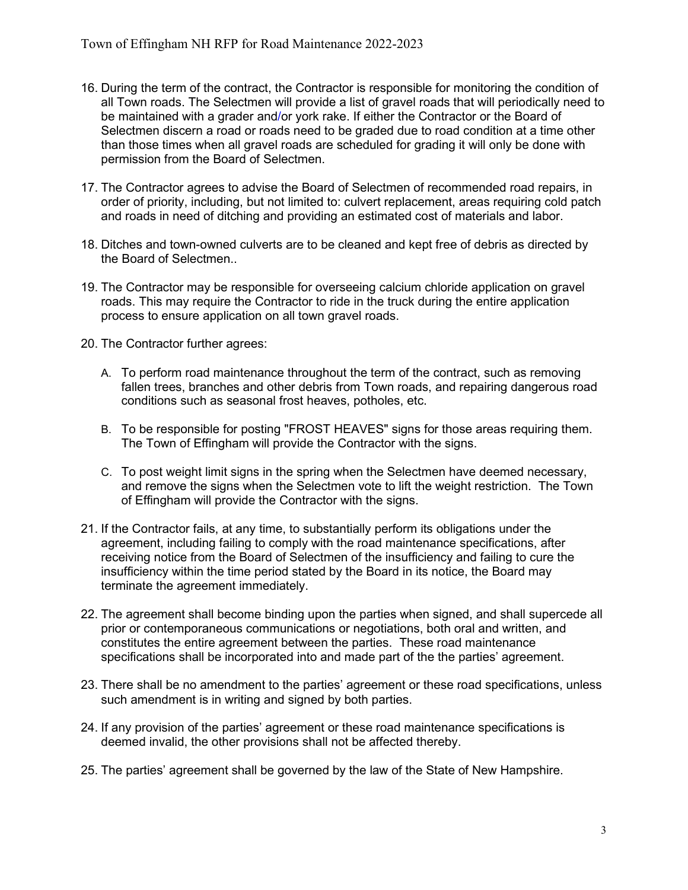- 16. During the term of the contract, the Contractor is responsible for monitoring the condition of all Town roads. The Selectmen will provide a list of gravel roads that will periodically need to be maintained with a grader and/or york rake. If either the Contractor or the Board of Selectmen discern a road or roads need to be graded due to road condition at a time other than those times when all gravel roads are scheduled for grading it will only be done with permission from the Board of Selectmen.
- 17. The Contractor agrees to advise the Board of Selectmen of recommended road repairs, in order of priority, including, but not limited to: culvert replacement, areas requiring cold patch and roads in need of ditching and providing an estimated cost of materials and labor.
- 18. Ditches and town-owned culverts are to be cleaned and kept free of debris as directed by the Board of Selectmen..
- 19. The Contractor may be responsible for overseeing calcium chloride application on gravel roads. This may require the Contractor to ride in the truck during the entire application process to ensure application on all town gravel roads.
- 20. The Contractor further agrees:
	- A. To perform road maintenance throughout the term of the contract, such as removing fallen trees, branches and other debris from Town roads, and repairing dangerous road conditions such as seasonal frost heaves, potholes, etc.
	- B. To be responsible for posting "FROST HEAVES" signs for those areas requiring them. The Town of Effingham will provide the Contractor with the signs.
	- C. To post weight limit signs in the spring when the Selectmen have deemed necessary, and remove the signs when the Selectmen vote to lift the weight restriction. The Town of Effingham will provide the Contractor with the signs.
- 21. If the Contractor fails, at any time, to substantially perform its obligations under the agreement, including failing to comply with the road maintenance specifications, after receiving notice from the Board of Selectmen of the insufficiency and failing to cure the insufficiency within the time period stated by the Board in its notice, the Board may terminate the agreement immediately.
- 22. The agreement shall become binding upon the parties when signed, and shall supercede all prior or contemporaneous communications or negotiations, both oral and written, and constitutes the entire agreement between the parties. These road maintenance specifications shall be incorporated into and made part of the the parties' agreement.
- 23. There shall be no amendment to the parties' agreement or these road specifications, unless such amendment is in writing and signed by both parties.
- 24. If any provision of the parties' agreement or these road maintenance specifications is deemed invalid, the other provisions shall not be affected thereby.
- 25. The parties' agreement shall be governed by the law of the State of New Hampshire.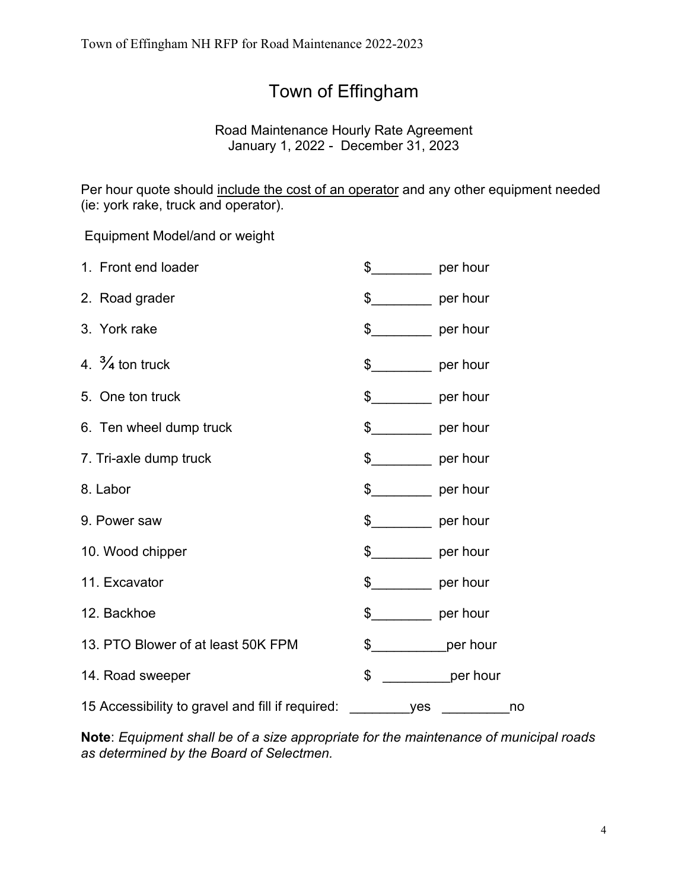## Town of Effingham

Road Maintenance Hourly Rate Agreement January 1, 2022 - December 31, 2023

Per hour quote should include the cost of an operator and any other equipment needed (ie: york rake, truck and operator).

Equipment Model/and or weight

| 1. Front end loader                              | \$<br>per hour            |  |
|--------------------------------------------------|---------------------------|--|
| 2. Road grader                                   | $\frac{1}{2}$<br>per hour |  |
| 3. York rake                                     | $\frac{1}{2}$ per hour    |  |
| 4. $\frac{3}{4}$ ton truck                       | $\frac{1}{2}$ per hour    |  |
| 5. One ton truck                                 | $\frac{1}{2}$ per hour    |  |
| 6. Ten wheel dump truck                          | $\frac{1}{2}$ per hour    |  |
| 7. Tri-axle dump truck                           | $\frac{1}{2}$ per hour    |  |
| 8. Labor                                         | $\frac{1}{2}$ per hour    |  |
| 9. Power saw                                     | $\frac{1}{2}$ per hour    |  |
| 10. Wood chipper                                 | $\frac{1}{2}$ per hour    |  |
| 11. Excavator                                    | $\frac{1}{2}$<br>per hour |  |
| 12. Backhoe                                      | $\frac{1}{2}$ per hour    |  |
| 13. PTO Blower of at least 50K FPM               | $\frac{1}{2}$<br>per hour |  |
| 14. Road sweeper                                 | \$<br>per hour            |  |
| 15 Accessibility to gravel and fill if required: | no<br>yes                 |  |

**Note**: *Equipment shall be of a size appropriate for the maintenance of municipal roads as determined by the Board of Selectmen.*